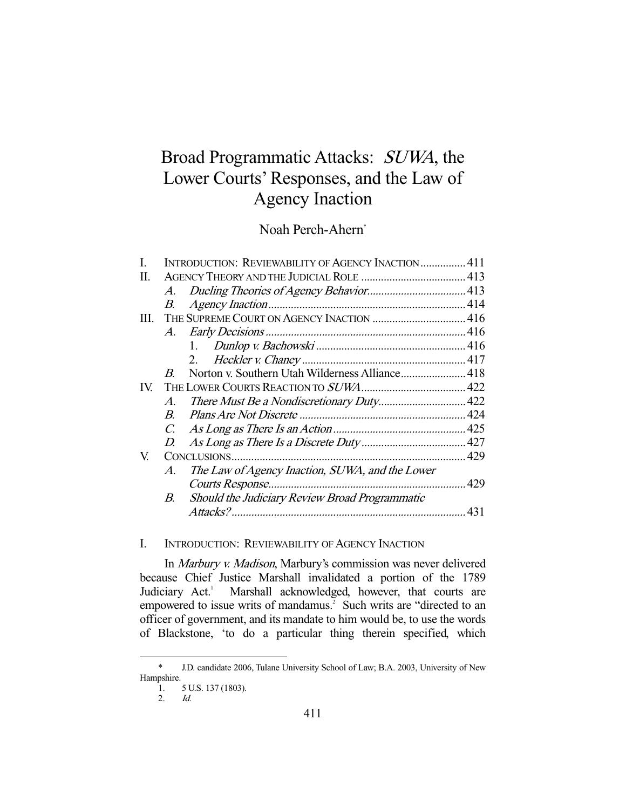# Broad Programmatic Attacks: SUWA, the Lower Courts' Responses, and the Law of Agency Inaction

Noah Perch-Ahern\*

| L   |                | INTRODUCTION: REVIEWABILITY OF AGENCY INACTION 411 |  |
|-----|----------------|----------------------------------------------------|--|
| П.  |                |                                                    |  |
|     | A.             |                                                    |  |
|     | В.             |                                                    |  |
|     |                |                                                    |  |
|     | A.             |                                                    |  |
|     |                |                                                    |  |
|     |                |                                                    |  |
|     | $B_{\cdot}$    | Norton v. Southern Utah Wilderness Alliance 418    |  |
| IV. |                |                                                    |  |
|     | $\mathcal{A}.$ |                                                    |  |
|     | $B_{\cdot}$    |                                                    |  |
|     | C.             |                                                    |  |
|     | D.             |                                                    |  |
| V.  |                |                                                    |  |
|     | A.             | The Law of Agency Inaction, SUWA, and the Lower    |  |
|     |                |                                                    |  |
|     | В.             | Should the Judiciary Review Broad Programmatic     |  |
|     |                |                                                    |  |
|     |                |                                                    |  |

# I. INTRODUCTION: REVIEWABILITY OF AGENCY INACTION

 In Marbury v. Madison, Marbury's commission was never delivered because Chief Justice Marshall invalidated a portion of the 1789 Judiciary Act.<sup>1</sup> Marshall acknowledged, however, that courts are empowered to issue writs of mandamus.<sup>2</sup> Such writs are "directed to an officer of government, and its mandate to him would be, to use the words of Blackstone, 'to do a particular thing therein specified, which

2. Id.

 <sup>\*</sup> J.D. candidate 2006, Tulane University School of Law; B.A. 2003, University of New Hampshire.

<sup>1. 5</sup> U.S. 137 (1803).<br>2. *Id.*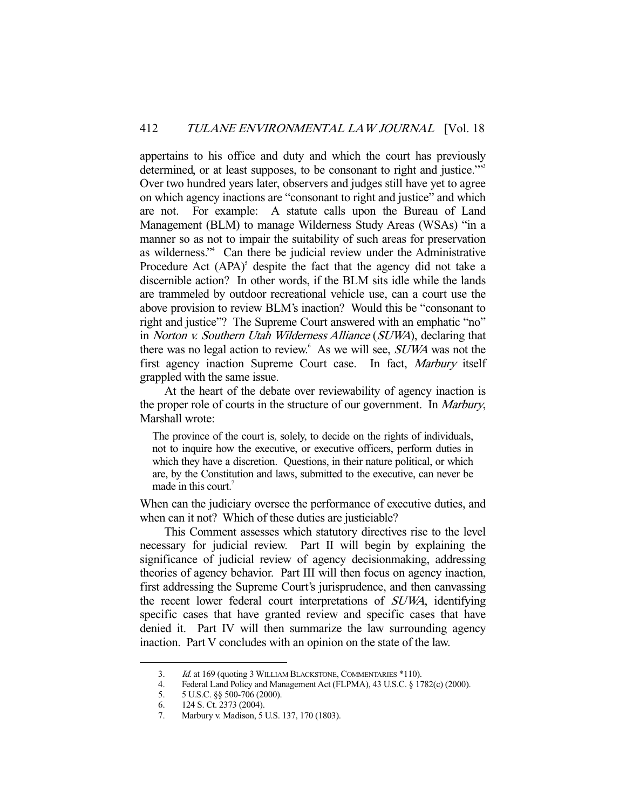appertains to his office and duty and which the court has previously determined, or at least supposes, to be consonant to right and justice."<sup>33</sup> Over two hundred years later, observers and judges still have yet to agree on which agency inactions are "consonant to right and justice" and which are not. For example: A statute calls upon the Bureau of Land Management (BLM) to manage Wilderness Study Areas (WSAs) "in a manner so as not to impair the suitability of such areas for preservation as wilderness."4 Can there be judicial review under the Administrative Procedure Act  $(APA)^5$  despite the fact that the agency did not take a discernible action? In other words, if the BLM sits idle while the lands are trammeled by outdoor recreational vehicle use, can a court use the above provision to review BLM's inaction? Would this be "consonant to right and justice"? The Supreme Court answered with an emphatic "no" in Norton v. Southern Utah Wilderness Alliance (SUWA), declaring that there was no legal action to review.<sup>6</sup> As we will see, *SUWA* was not the first agency inaction Supreme Court case. In fact, Marbury itself grappled with the same issue.

 At the heart of the debate over reviewability of agency inaction is the proper role of courts in the structure of our government. In *Marbury*, Marshall wrote:

The province of the court is, solely, to decide on the rights of individuals, not to inquire how the executive, or executive officers, perform duties in which they have a discretion. Questions, in their nature political, or which are, by the Constitution and laws, submitted to the executive, can never be made in this court.<sup> $7$ </sup>

When can the judiciary oversee the performance of executive duties, and when can it not? Which of these duties are justiciable?

 This Comment assesses which statutory directives rise to the level necessary for judicial review. Part II will begin by explaining the significance of judicial review of agency decisionmaking, addressing theories of agency behavior. Part III will then focus on agency inaction, first addressing the Supreme Court's jurisprudence, and then canvassing the recent lower federal court interpretations of SUWA, identifying specific cases that have granted review and specific cases that have denied it. Part IV will then summarize the law surrounding agency inaction. Part V concludes with an opinion on the state of the law.

 <sup>3.</sup> Id. at 169 (quoting 3 WILLIAM BLACKSTONE, COMMENTARIES \*110).

 <sup>4.</sup> Federal Land Policy and Management Act (FLPMA), 43 U.S.C. § 1782(c) (2000).

 <sup>5. 5</sup> U.S.C. §§ 500-706 (2000).

<sup>6. 124</sup> S. Ct. 2373 (2004).<br>7. Marbury v. Madison. 51

Marbury v. Madison, 5 U.S. 137, 170 (1803).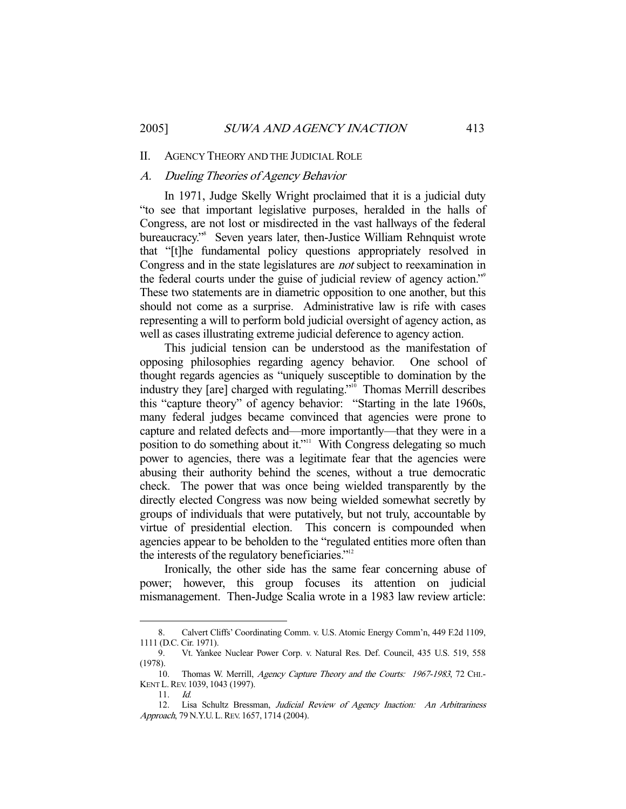#### II. AGENCY THEORY AND THE JUDICIAL ROLE

## A. Dueling Theories of Agency Behavior

 In 1971, Judge Skelly Wright proclaimed that it is a judicial duty "to see that important legislative purposes, heralded in the halls of Congress, are not lost or misdirected in the vast hallways of the federal bureaucracy."8 Seven years later, then-Justice William Rehnquist wrote that "[t]he fundamental policy questions appropriately resolved in Congress and in the state legislatures are not subject to reexamination in the federal courts under the guise of judicial review of agency action."9 These two statements are in diametric opposition to one another, but this should not come as a surprise. Administrative law is rife with cases representing a will to perform bold judicial oversight of agency action, as well as cases illustrating extreme judicial deference to agency action.

 This judicial tension can be understood as the manifestation of opposing philosophies regarding agency behavior. One school of thought regards agencies as "uniquely susceptible to domination by the industry they [are] charged with regulating."<sup>10</sup> Thomas Merrill describes this "capture theory" of agency behavior: "Starting in the late 1960s, many federal judges became convinced that agencies were prone to capture and related defects and—more importantly—that they were in a position to do something about it."<sup>11</sup> With Congress delegating so much power to agencies, there was a legitimate fear that the agencies were abusing their authority behind the scenes, without a true democratic check. The power that was once being wielded transparently by the directly elected Congress was now being wielded somewhat secretly by groups of individuals that were putatively, but not truly, accountable by virtue of presidential election. This concern is compounded when agencies appear to be beholden to the "regulated entities more often than the interests of the regulatory beneficiaries."<sup>12</sup>

 Ironically, the other side has the same fear concerning abuse of power; however, this group focuses its attention on judicial mismanagement. Then-Judge Scalia wrote in a 1983 law review article:

 <sup>8.</sup> Calvert Cliffs' Coordinating Comm. v. U.S. Atomic Energy Comm'n, 449 F.2d 1109, 1111 (D.C. Cir. 1971).

 <sup>9.</sup> Vt. Yankee Nuclear Power Corp. v. Natural Res. Def. Council, 435 U.S. 519, 558 (1978).

<sup>10.</sup> Thomas W. Merrill, Agency Capture Theory and the Courts: 1967-1983, 72 CHI.-KENT L.REV. 1039, 1043 (1997).

 <sup>11.</sup> Id.

<sup>12.</sup> Lisa Schultz Bressman, Judicial Review of Agency Inaction: An Arbitrariness Approach, 79 N.Y.U. L. REV. 1657, 1714 (2004).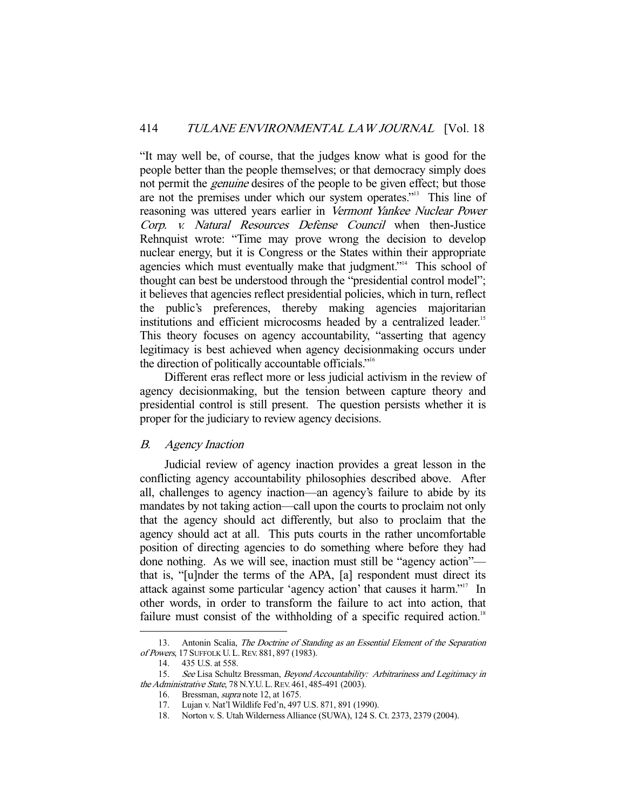"It may well be, of course, that the judges know what is good for the people better than the people themselves; or that democracy simply does not permit the *genuine* desires of the people to be given effect; but those are not the premises under which our system operates."13 This line of reasoning was uttered years earlier in Vermont Yankee Nuclear Power Corp. v. Natural Resources Defense Council when then-Justice Rehnquist wrote: "Time may prove wrong the decision to develop nuclear energy, but it is Congress or the States within their appropriate agencies which must eventually make that judgment."<sup>4</sup> This school of thought can best be understood through the "presidential control model"; it believes that agencies reflect presidential policies, which in turn, reflect the public's preferences, thereby making agencies majoritarian institutions and efficient microcosms headed by a centralized leader.<sup>15</sup> This theory focuses on agency accountability, "asserting that agency legitimacy is best achieved when agency decisionmaking occurs under the direction of politically accountable officials."16

 Different eras reflect more or less judicial activism in the review of agency decisionmaking, but the tension between capture theory and presidential control is still present. The question persists whether it is proper for the judiciary to review agency decisions.

# B. Agency Inaction

 Judicial review of agency inaction provides a great lesson in the conflicting agency accountability philosophies described above. After all, challenges to agency inaction—an agency's failure to abide by its mandates by not taking action—call upon the courts to proclaim not only that the agency should act differently, but also to proclaim that the agency should act at all. This puts courts in the rather uncomfortable position of directing agencies to do something where before they had done nothing. As we will see, inaction must still be "agency action" that is, "[u]nder the terms of the APA, [a] respondent must direct its attack against some particular 'agency action' that causes it harm."17 In other words, in order to transform the failure to act into action, that failure must consist of the withholding of a specific required action.<sup>18</sup>

<sup>13.</sup> Antonin Scalia, The Doctrine of Standing as an Essential Element of the Separation of Powers, 17 SUFFOLK U. L.REV. 881, 897 (1983).

 <sup>14. 435</sup> U.S. at 558.

 <sup>15.</sup> See Lisa Schultz Bressman, Beyond Accountability: Arbitrariness and Legitimacy in the Administrative State, 78 N.Y.U. L.REV. 461, 485-491 (2003).

<sup>16.</sup> Bressman, *supra* note 12, at 1675.

 <sup>17.</sup> Lujan v. Nat'l Wildlife Fed'n, 497 U.S. 871, 891 (1990).

 <sup>18.</sup> Norton v. S. Utah Wilderness Alliance (SUWA), 124 S. Ct. 2373, 2379 (2004).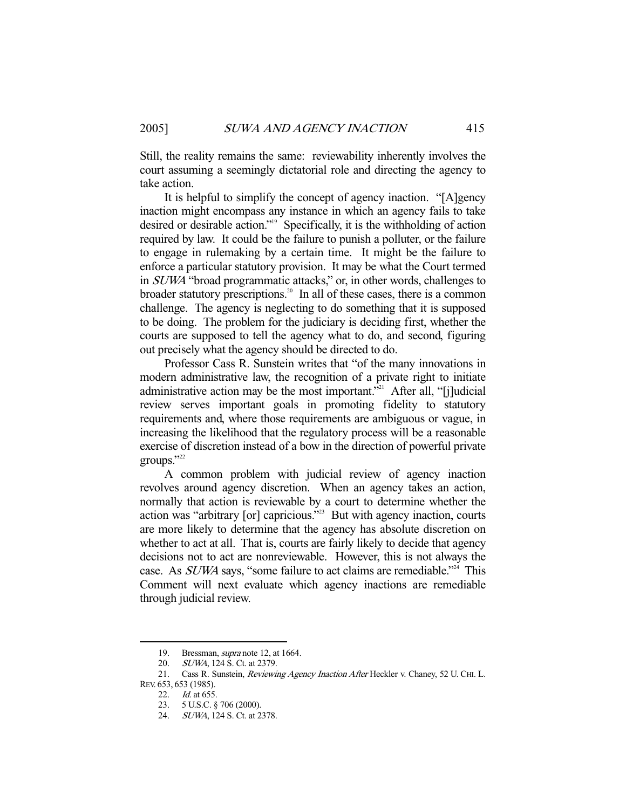Still, the reality remains the same: reviewability inherently involves the court assuming a seemingly dictatorial role and directing the agency to take action.

 It is helpful to simplify the concept of agency inaction. "[A]gency inaction might encompass any instance in which an agency fails to take desired or desirable action."19 Specifically, it is the withholding of action required by law. It could be the failure to punish a polluter, or the failure to engage in rulemaking by a certain time. It might be the failure to enforce a particular statutory provision. It may be what the Court termed in SUWA "broad programmatic attacks," or, in other words, challenges to broader statutory prescriptions.<sup>20</sup> In all of these cases, there is a common challenge. The agency is neglecting to do something that it is supposed to be doing. The problem for the judiciary is deciding first, whether the courts are supposed to tell the agency what to do, and second, figuring out precisely what the agency should be directed to do.

 Professor Cass R. Sunstein writes that "of the many innovations in modern administrative law, the recognition of a private right to initiate administrative action may be the most important."<sup>21</sup> After all, "[j]udicial review serves important goals in promoting fidelity to statutory requirements and, where those requirements are ambiguous or vague, in increasing the likelihood that the regulatory process will be a reasonable exercise of discretion instead of a bow in the direction of powerful private groups." $22$ 

 A common problem with judicial review of agency inaction revolves around agency discretion. When an agency takes an action, normally that action is reviewable by a court to determine whether the action was "arbitrary [or] capricious."23 But with agency inaction, courts are more likely to determine that the agency has absolute discretion on whether to act at all. That is, courts are fairly likely to decide that agency decisions not to act are nonreviewable. However, this is not always the case. As *SUWA* says, "some failure to act claims are remediable."<sup>24</sup> This Comment will next evaluate which agency inactions are remediable through judicial review.

<sup>19.</sup> Bressman, *supra* note 12, at 1664.

 <sup>20.</sup> SUWA, 124 S. Ct. at 2379.

<sup>21.</sup> Cass R. Sunstein, *Reviewing Agency Inaction After* Heckler v. Chaney, 52 U. CHI. L. REV. 653, 653 (1985).

<sup>22.</sup> *Id.* at 655.

 <sup>23. 5</sup> U.S.C. § 706 (2000).

 <sup>24.</sup> SUWA, 124 S. Ct. at 2378.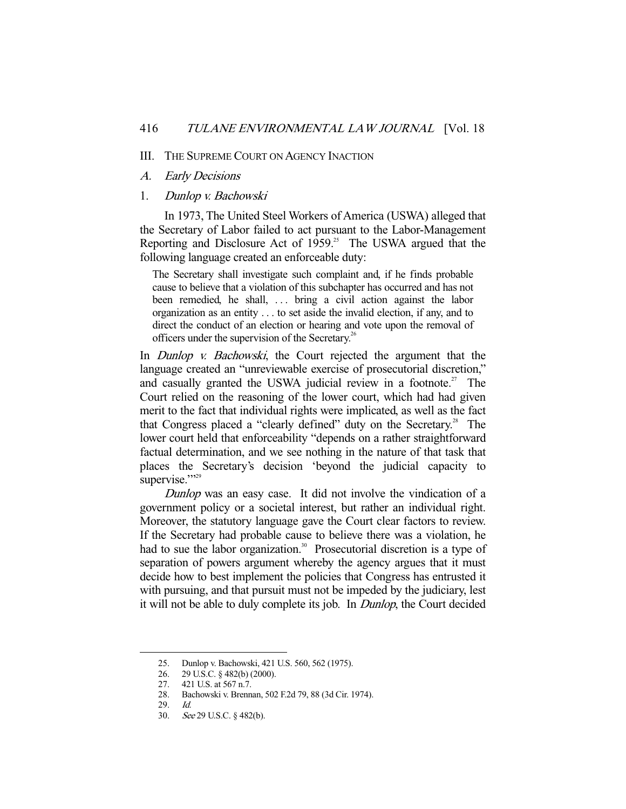#### III. THE SUPREME COURT ON AGENCY INACTION

- A. Early Decisions
- 1. Dunlop v. Bachowski

 In 1973, The United Steel Workers of America (USWA) alleged that the Secretary of Labor failed to act pursuant to the Labor-Management Reporting and Disclosure Act of  $1959$ .<sup>25</sup> The USWA argued that the following language created an enforceable duty:

The Secretary shall investigate such complaint and, if he finds probable cause to believe that a violation of this subchapter has occurred and has not been remedied, he shall, ... bring a civil action against the labor organization as an entity . . . to set aside the invalid election, if any, and to direct the conduct of an election or hearing and vote upon the removal of officers under the supervision of the Secretary.<sup>26</sup>

In *Dunlop v. Bachowski*, the Court rejected the argument that the language created an "unreviewable exercise of prosecutorial discretion," and casually granted the USWA judicial review in a footnote.<sup>27</sup> The Court relied on the reasoning of the lower court, which had had given merit to the fact that individual rights were implicated, as well as the fact that Congress placed a "clearly defined" duty on the Secretary.<sup>28</sup> The lower court held that enforceability "depends on a rather straightforward factual determination, and we see nothing in the nature of that task that places the Secretary's decision 'beyond the judicial capacity to supervise."

Dunlop was an easy case. It did not involve the vindication of a government policy or a societal interest, but rather an individual right. Moreover, the statutory language gave the Court clear factors to review. If the Secretary had probable cause to believe there was a violation, he had to sue the labor organization.<sup>30</sup> Prosecutorial discretion is a type of separation of powers argument whereby the agency argues that it must decide how to best implement the policies that Congress has entrusted it with pursuing, and that pursuit must not be impeded by the judiciary, lest it will not be able to duly complete its job. In Dunlop, the Court decided

 <sup>25.</sup> Dunlop v. Bachowski, 421 U.S. 560, 562 (1975).

 <sup>26. 29</sup> U.S.C. § 482(b) (2000).

 <sup>27. 421</sup> U.S. at 567 n.7.

 <sup>28.</sup> Bachowski v. Brennan, 502 F.2d 79, 88 (3d Cir. 1974).

 <sup>29.</sup> Id.

 <sup>30.</sup> See 29 U.S.C. § 482(b).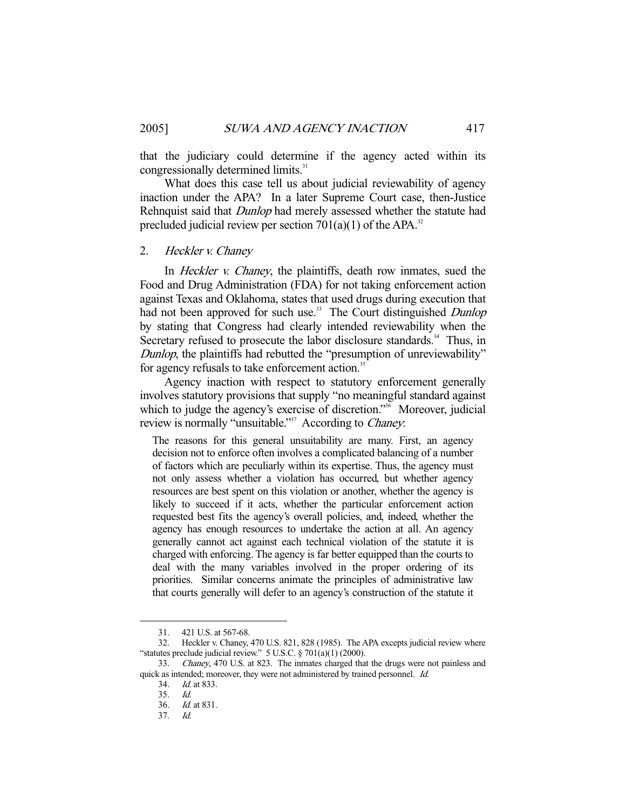that the judiciary could determine if the agency acted within its congressionally determined limits.<sup>31</sup>

 What does this case tell us about judicial reviewability of agency inaction under the APA? In a later Supreme Court case, then-Justice Rehnquist said that *Dunlop* had merely assessed whether the statute had precluded judicial review per section  $701(a)(1)$  of the APA.<sup>32</sup>

#### 2. Heckler v. Chaney

In *Heckler v. Chaney*, the plaintiffs, death row inmates, sued the Food and Drug Administration (FDA) for not taking enforcement action against Texas and Oklahoma, states that used drugs during execution that had not been approved for such use.<sup>33</sup> The Court distinguished *Dunlop* by stating that Congress had clearly intended reviewability when the Secretary refused to prosecute the labor disclosure standards.<sup>34</sup> Thus, in Dunlop, the plaintiffs had rebutted the "presumption of unreviewability" for agency refusals to take enforcement action.<sup>35</sup>

 Agency inaction with respect to statutory enforcement generally involves statutory provisions that supply "no meaningful standard against which to judge the agency's exercise of discretion."<sup>36</sup> Moreover, judicial review is normally "unsuitable."<sup>37</sup> According to *Chaney*.

The reasons for this general unsuitability are many. First, an agency decision not to enforce often involves a complicated balancing of a number of factors which are peculiarly within its expertise. Thus, the agency must not only assess whether a violation has occurred, but whether agency resources are best spent on this violation or another, whether the agency is likely to succeed if it acts, whether the particular enforcement action requested best fits the agency's overall policies, and, indeed, whether the agency has enough resources to undertake the action at all. An agency generally cannot act against each technical violation of the statute it is charged with enforcing. The agency is far better equipped than the courts to deal with the many variables involved in the proper ordering of its priorities. Similar concerns animate the principles of administrative law that courts generally will defer to an agency's construction of the statute it

 <sup>31. 421</sup> U.S. at 567-68.

 <sup>32.</sup> Heckler v. Chaney, 470 U.S. 821, 828 (1985). The APA excepts judicial review where "statutes preclude judicial review."  $5$  U.S.C.  $\S$  701(a)(1) (2000).

 <sup>33.</sup> Chaney, 470 U.S. at 823. The inmates charged that the drugs were not painless and quick as intended; moreover, they were not administered by trained personnel. Id.

 <sup>34.</sup> Id. at 833.

 <sup>35.</sup> Id.

 <sup>36.</sup> Id. at 831.

 <sup>37.</sup> Id.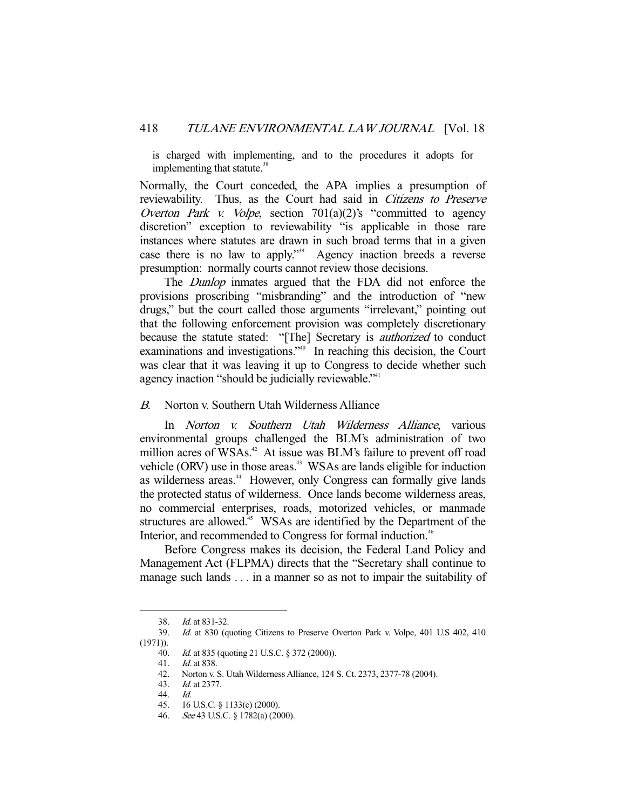is charged with implementing, and to the procedures it adopts for implementing that statute.<sup>38</sup>

Normally, the Court conceded, the APA implies a presumption of reviewability. Thus, as the Court had said in Citizens to Preserve Overton Park v. Volpe, section  $701(a)(2)$ 's "committed to agency discretion" exception to reviewability "is applicable in those rare instances where statutes are drawn in such broad terms that in a given case there is no law to apply."39 Agency inaction breeds a reverse presumption: normally courts cannot review those decisions.

The *Dunlop* inmates argued that the FDA did not enforce the provisions proscribing "misbranding" and the introduction of "new drugs," but the court called those arguments "irrelevant," pointing out that the following enforcement provision was completely discretionary because the statute stated: "[The] Secretary is *authorized* to conduct examinations and investigations."<sup>40</sup> In reaching this decision, the Court was clear that it was leaving it up to Congress to decide whether such agency inaction "should be judicially reviewable."<sup>41</sup>

B. Norton v. Southern Utah Wilderness Alliance

 In Norton v. Southern Utah Wilderness Alliance, various environmental groups challenged the BLM's administration of two million acres of WSAs.<sup>42</sup> At issue was BLM's failure to prevent off road vehicle (ORV) use in those areas.<sup>43</sup> WSAs are lands eligible for induction as wilderness areas.<sup>44</sup> However, only Congress can formally give lands the protected status of wilderness. Once lands become wilderness areas, no commercial enterprises, roads, motorized vehicles, or manmade structures are allowed.<sup>45</sup> WSAs are identified by the Department of the Interior, and recommended to Congress for formal induction.<sup>46</sup>

 Before Congress makes its decision, the Federal Land Policy and Management Act (FLPMA) directs that the "Secretary shall continue to manage such lands . . . in a manner so as not to impair the suitability of

 <sup>38.</sup> Id. at 831-32.

 <sup>39.</sup> Id. at 830 (quoting Citizens to Preserve Overton Park v. Volpe, 401 U.S 402, 410 (1971)).

<sup>40.</sup> *Id.* at 835 (quoting 21 U.S.C. § 372 (2000)).<br>41. *Id.* at 838.

*Id.* at 838.

<sup>42.</sup> Norton v. S. Utah Wilderness Alliance, 124 S. Ct. 2373, 2377-78 (2004).<br>43 *Id at* 2377

 <sup>43.</sup> Id. at 2377.

 <sup>44.</sup> Id.

 <sup>45. 16</sup> U.S.C. § 1133(c) (2000).

 <sup>46.</sup> See 43 U.S.C. § 1782(a) (2000).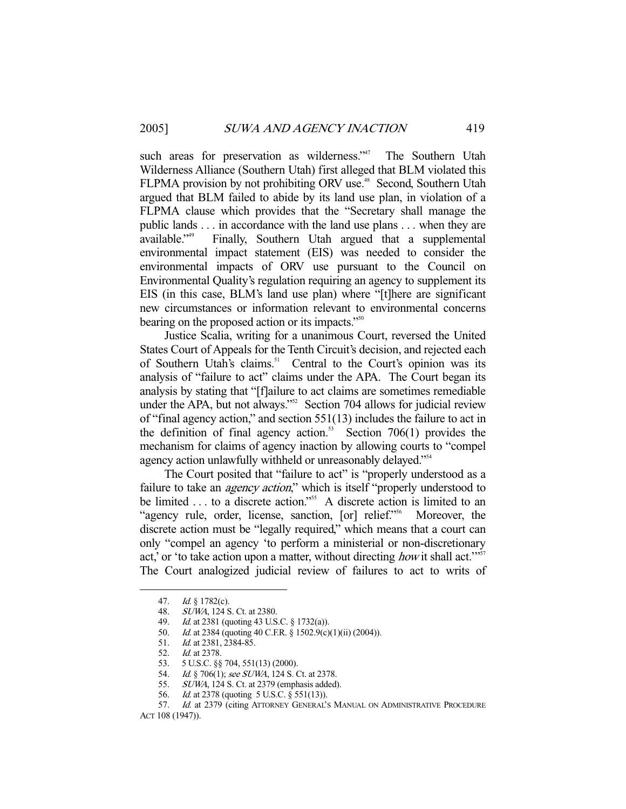such areas for preservation as wilderness."<sup>47</sup> The Southern Utah Wilderness Alliance (Southern Utah) first alleged that BLM violated this FLPMA provision by not prohibiting ORV use.<sup>48</sup> Second, Southern Utah argued that BLM failed to abide by its land use plan, in violation of a FLPMA clause which provides that the "Secretary shall manage the public lands . . . in accordance with the land use plans . . . when they are available."49 Finally, Southern Utah argued that a supplemental environmental impact statement (EIS) was needed to consider the environmental impacts of ORV use pursuant to the Council on Environmental Quality's regulation requiring an agency to supplement its EIS (in this case, BLM's land use plan) where "[t]here are significant new circumstances or information relevant to environmental concerns bearing on the proposed action or its impacts."<sup>50</sup>

 Justice Scalia, writing for a unanimous Court, reversed the United States Court of Appeals for the Tenth Circuit's decision, and rejected each of Southern Utah's claims.<sup>51</sup> Central to the Court's opinion was its analysis of "failure to act" claims under the APA. The Court began its analysis by stating that "[f]ailure to act claims are sometimes remediable under the APA, but not always."<sup>52</sup> Section 704 allows for judicial review of "final agency action," and section 551(13) includes the failure to act in the definition of final agency action.<sup>53</sup> Section 706(1) provides the mechanism for claims of agency inaction by allowing courts to "compel agency action unlawfully withheld or unreasonably delayed."<sup>54</sup>

 The Court posited that "failure to act" is "properly understood as a failure to take an *agency action*," which is itself "properly understood to be limited . . . to a discrete action."<sup>55</sup> A discrete action is limited to an "agency rule, order, license, sanction, [or] relief."<sup>56</sup> Moreover, the discrete action must be "legally required," which means that a court can only "compel an agency 'to perform a ministerial or non-discretionary act,' or 'to take action upon a matter, without directing *how* it shall act."<sup>57</sup> The Court analogized judicial review of failures to act to writs of

 <sup>47.</sup> Id. § 1782(c).

 <sup>48.</sup> SUWA, 124 S. Ct. at 2380.

<sup>49.</sup> Id. at 2381 (quoting 43 U.S.C. § 1732(a)).

 <sup>50.</sup> Id. at 2384 (quoting 40 C.F.R. § 1502.9(c)(1)(ii) (2004)).

<sup>51.</sup> *Id.* at 2381, 2384-85.

<sup>52.</sup> *Id.* at 2378.

 <sup>53. 5</sup> U.S.C. §§ 704, 551(13) (2000).

<sup>54.</sup> Id. § 706(1); see SUWA, 124 S. Ct. at 2378.

<sup>55.</sup> *SUWA*, 124 S. Ct. at 2379 (emphasis added).

 <sup>56.</sup> Id. at 2378 (quoting 5 U.S.C. § 551(13)).

<sup>57.</sup> Id. at 2379 (citing ATTORNEY GENERAL'S MANUAL ON ADMINISTRATIVE PROCEDURE ACT 108 (1947)).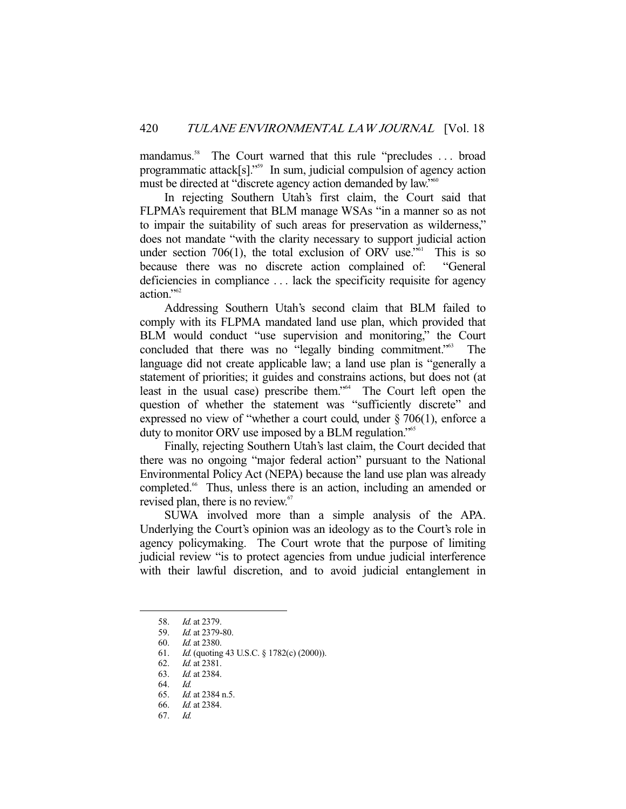mandamus.<sup>58</sup> The Court warned that this rule "precludes ... broad programmatic attack[s]."59 In sum, judicial compulsion of agency action must be directed at "discrete agency action demanded by law."<sup>60</sup>

 In rejecting Southern Utah's first claim, the Court said that FLPMA's requirement that BLM manage WSAs "in a manner so as not to impair the suitability of such areas for preservation as wilderness," does not mandate "with the clarity necessary to support judicial action under section 706(1), the total exclusion of ORV use."<sup>61</sup> This is so because there was no discrete action complained of: "General deficiencies in compliance . . . lack the specificity requisite for agency action."62

 Addressing Southern Utah's second claim that BLM failed to comply with its FLPMA mandated land use plan, which provided that BLM would conduct "use supervision and monitoring," the Court concluded that there was no "legally binding commitment."<sup>63</sup> The language did not create applicable law; a land use plan is "generally a statement of priorities; it guides and constrains actions, but does not (at least in the usual case) prescribe them."64 The Court left open the question of whether the statement was "sufficiently discrete" and expressed no view of "whether a court could, under § 706(1), enforce a duty to monitor ORV use imposed by a BLM regulation."<sup>65</sup>

 Finally, rejecting Southern Utah's last claim, the Court decided that there was no ongoing "major federal action" pursuant to the National Environmental Policy Act (NEPA) because the land use plan was already completed.<sup>66</sup> Thus, unless there is an action, including an amended or revised plan, there is no review.<sup>67</sup>

 SUWA involved more than a simple analysis of the APA. Underlying the Court's opinion was an ideology as to the Court's role in agency policymaking. The Court wrote that the purpose of limiting judicial review "is to protect agencies from undue judicial interference with their lawful discretion, and to avoid judicial entanglement in

 <sup>58.</sup> Id. at 2379.

 <sup>59.</sup> Id. at 2379-80.

 <sup>60.</sup> Id. at 2380.

<sup>61.</sup> *Id.* (quoting 43 U.S.C. § 1782(c) (2000)).<br>62. *Id.* at 2381.

*Id.* at 2381.

 <sup>63.</sup> Id. at 2384.

 <sup>64.</sup> Id.

 <sup>65.</sup> Id. at 2384 n.5.

 <sup>66.</sup> Id. at 2384.

 <sup>67.</sup> Id.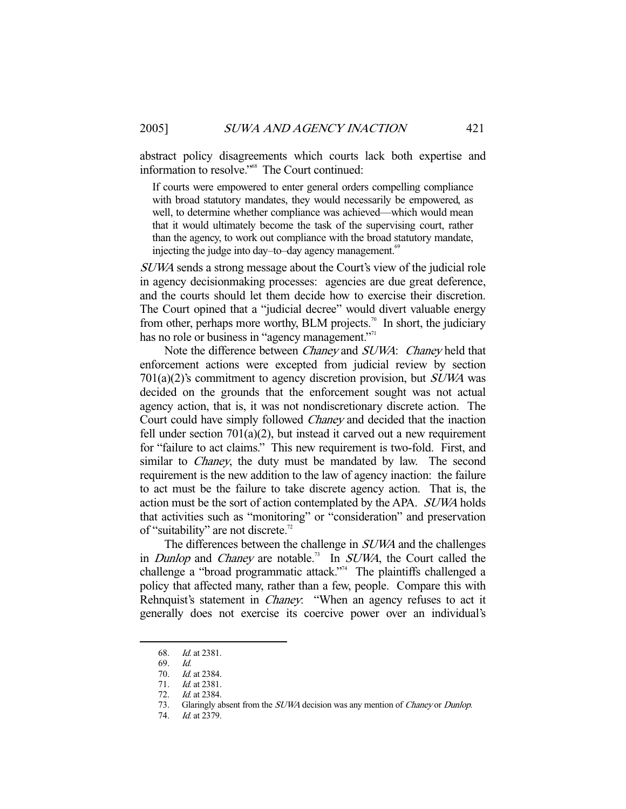abstract policy disagreements which courts lack both expertise and information to resolve."68 The Court continued:

If courts were empowered to enter general orders compelling compliance with broad statutory mandates, they would necessarily be empowered, as well, to determine whether compliance was achieved—which would mean that it would ultimately become the task of the supervising court, rather than the agency, to work out compliance with the broad statutory mandate, injecting the judge into day–to–day agency management.<sup>69</sup>

SUWA sends a strong message about the Court's view of the judicial role in agency decisionmaking processes: agencies are due great deference, and the courts should let them decide how to exercise their discretion. The Court opined that a "judicial decree" would divert valuable energy from other, perhaps more worthy, BLM projects.<sup>70</sup> In short, the judiciary has no role or business in "agency management."<sup>11</sup>

Note the difference between *Chaney* and *SUWA*: *Chaney* held that enforcement actions were excepted from judicial review by section  $701(a)(2)$ 's commitment to agency discretion provision, but  $SUWA$  was decided on the grounds that the enforcement sought was not actual agency action, that is, it was not nondiscretionary discrete action. The Court could have simply followed Chaney and decided that the inaction fell under section 701(a)(2), but instead it carved out a new requirement for "failure to act claims." This new requirement is two-fold. First, and similar to *Chaney*, the duty must be mandated by law. The second requirement is the new addition to the law of agency inaction: the failure to act must be the failure to take discrete agency action. That is, the action must be the sort of action contemplated by the APA. SUWA holds that activities such as "monitoring" or "consideration" and preservation of "suitability" are not discrete.<sup>72</sup>

The differences between the challenge in *SUWA* and the challenges in *Dunlop* and *Chaney* are notable.<sup>73</sup> In *SUWA*, the Court called the challenge a "broad programmatic attack."<sup>4</sup> The plaintiffs challenged a policy that affected many, rather than a few, people. Compare this with Rehnquist's statement in *Chaney*: "When an agency refuses to act it generally does not exercise its coercive power over an individual's

 <sup>68.</sup> Id. at 2381.

 <sup>69.</sup> Id.

<sup>70.</sup> *Id.* at 2384.

<sup>71.</sup> *Id.* at 2381.

<sup>72.</sup> *Id.* at 2384.<br>73. Glaringly al

Glaringly absent from the *SUWA* decision was any mention of *Chaney* or *Dunlop*.

<sup>74.</sup> *Id.* at 2379.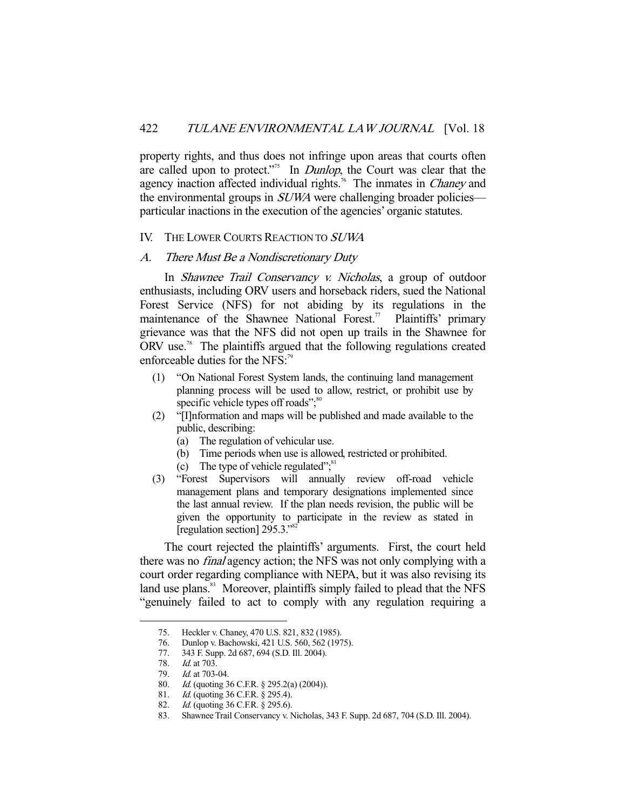property rights, and thus does not infringe upon areas that courts often are called upon to protect."<sup>75</sup> In *Dunlop*, the Court was clear that the agency inaction affected individual rights.<sup>76</sup> The inmates in *Chaney* and the environmental groups in *SUWA* were challenging broader policies particular inactions in the execution of the agencies' organic statutes.

#### IV. THE LOWER COURTS REACTION TO SUWA

#### A. There Must Be a Nondiscretionary Duty

 In Shawnee Trail Conservancy v. Nicholas, a group of outdoor enthusiasts, including ORV users and horseback riders, sued the National Forest Service (NFS) for not abiding by its regulations in the maintenance of the Shawnee National Forest.<sup>77</sup> Plaintiffs' primary grievance was that the NFS did not open up trails in the Shawnee for ORV use.78 The plaintiffs argued that the following regulations created enforceable duties for the NFS:<sup>79</sup>

- (1) "On National Forest System lands, the continuing land management planning process will be used to allow, restrict, or prohibit use by specific vehicle types off roads";<sup>80</sup>
- (2) "[I]nformation and maps will be published and made available to the public, describing:
	- (a) The regulation of vehicular use.
	- (b) Time periods when use is allowed, restricted or prohibited.
	- (c) The type of vehicle regulated"; $s<sup>81</sup>$
- (3) "Forest Supervisors will annually review off-road vehicle management plans and temporary designations implemented since the last annual review. If the plan needs revision, the public will be given the opportunity to participate in the review as stated in [regulation section]  $295.3$ ."<sup>82</sup>

 The court rejected the plaintiffs' arguments. First, the court held there was no final agency action; the NFS was not only complying with a court order regarding compliance with NEPA, but it was also revising its land use plans.<sup>83</sup> Moreover, plaintiffs simply failed to plead that the NFS "genuinely failed to act to comply with any regulation requiring a

 <sup>75.</sup> Heckler v. Chaney, 470 U.S. 821, 832 (1985).

 <sup>76.</sup> Dunlop v. Bachowski, 421 U.S. 560, 562 (1975).

 <sup>77. 343</sup> F. Supp. 2d 687, 694 (S.D. Ill. 2004).

 <sup>78.</sup> Id. at 703.

<sup>79.</sup> *Id.* at 703-04.

<sup>80.</sup> *Id.* (quoting 36 C.F.R. § 295.2(a) (2004)).

<sup>81.</sup> *Id.* (quoting 36 C.F.R. § 295.4).

<sup>82.</sup> *Id.* (quoting 36 C.F.R. § 295.6).

 <sup>83.</sup> Shawnee Trail Conservancy v. Nicholas, 343 F. Supp. 2d 687, 704 (S.D. Ill. 2004).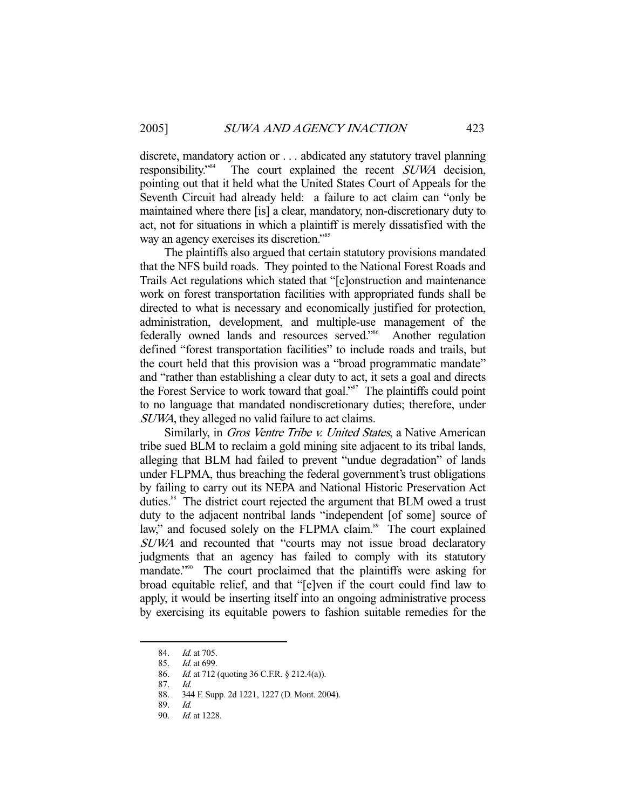discrete, mandatory action or . . . abdicated any statutory travel planning responsibility."84 The court explained the recent SUWA decision, pointing out that it held what the United States Court of Appeals for the Seventh Circuit had already held: a failure to act claim can "only be maintained where there [is] a clear, mandatory, non-discretionary duty to act, not for situations in which a plaintiff is merely dissatisfied with the way an agency exercises its discretion."<sup>85</sup>

 The plaintiffs also argued that certain statutory provisions mandated that the NFS build roads. They pointed to the National Forest Roads and Trails Act regulations which stated that "[c]onstruction and maintenance work on forest transportation facilities with appropriated funds shall be directed to what is necessary and economically justified for protection, administration, development, and multiple-use management of the federally owned lands and resources served."<sup>86</sup> Another regulation defined "forest transportation facilities" to include roads and trails, but the court held that this provision was a "broad programmatic mandate" and "rather than establishing a clear duty to act, it sets a goal and directs the Forest Service to work toward that goal."<sup>87</sup> The plaintiffs could point to no language that mandated nondiscretionary duties; therefore, under SUWA, they alleged no valid failure to act claims.

Similarly, in Gros Ventre Tribe v. United States, a Native American tribe sued BLM to reclaim a gold mining site adjacent to its tribal lands, alleging that BLM had failed to prevent "undue degradation" of lands under FLPMA, thus breaching the federal government's trust obligations by failing to carry out its NEPA and National Historic Preservation Act duties.<sup>88</sup> The district court rejected the argument that BLM owed a trust duty to the adjacent nontribal lands "independent [of some] source of law," and focused solely on the FLPMA claim.<sup>89</sup> The court explained SUWA and recounted that "courts may not issue broad declaratory judgments that an agency has failed to comply with its statutory mandate."<sup>90</sup> The court proclaimed that the plaintiffs were asking for broad equitable relief, and that "[e]ven if the court could find law to apply, it would be inserting itself into an ongoing administrative process by exercising its equitable powers to fashion suitable remedies for the

<sup>84.</sup> *Id.* at 705.

 <sup>85.</sup> Id. at 699.

<sup>86.</sup> *Id.* at 712 (quoting 36 C.F.R. § 212.4(a)).

 <sup>87.</sup> Id.

 <sup>88. 344</sup> F. Supp. 2d 1221, 1227 (D. Mont. 2004).

 <sup>89.</sup> Id.

 <sup>90.</sup> Id. at 1228.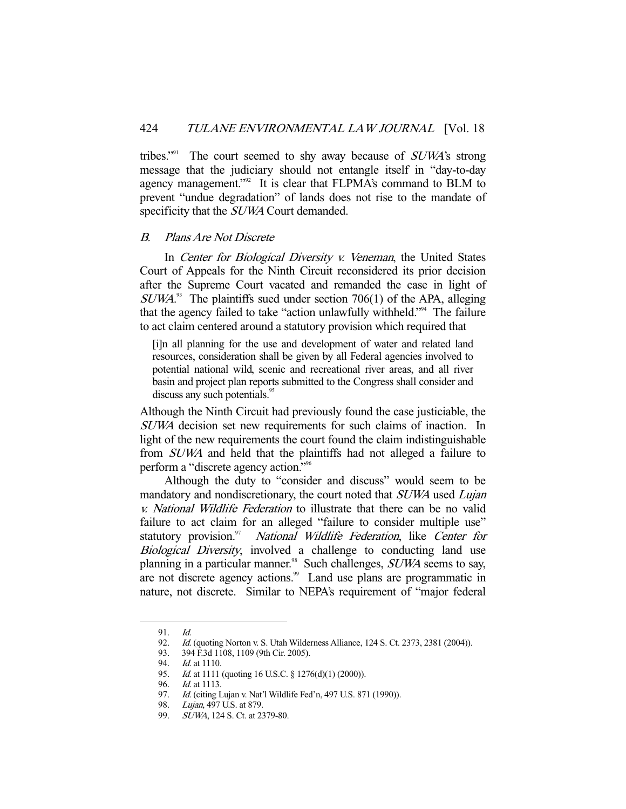tribes."<sup>91</sup> The court seemed to shy away because of  $SUMA$ 's strong message that the judiciary should not entangle itself in "day-to-day agency management."<sup>92</sup> It is clear that FLPMA's command to BLM to prevent "undue degradation" of lands does not rise to the mandate of specificity that the *SUWA* Court demanded.

### B. Plans Are Not Discrete

In Center for Biological Diversity v. Veneman, the United States Court of Appeals for the Ninth Circuit reconsidered its prior decision after the Supreme Court vacated and remanded the case in light of  $SUWA$ <sup>33</sup> The plaintiffs sued under section 706(1) of the APA, alleging that the agency failed to take "action unlawfully withheld."94 The failure to act claim centered around a statutory provision which required that

[i]n all planning for the use and development of water and related land resources, consideration shall be given by all Federal agencies involved to potential national wild, scenic and recreational river areas, and all river basin and project plan reports submitted to the Congress shall consider and discuss any such potentials.<sup>95</sup>

Although the Ninth Circuit had previously found the case justiciable, the SUWA decision set new requirements for such claims of inaction. In light of the new requirements the court found the claim indistinguishable from SUWA and held that the plaintiffs had not alleged a failure to perform a "discrete agency action."96

 Although the duty to "consider and discuss" would seem to be mandatory and nondiscretionary, the court noted that SUWA used Lujan v. National Wildlife Federation to illustrate that there can be no valid failure to act claim for an alleged "failure to consider multiple use" statutory provision.<sup>97</sup> National Wildlife Federation, like Center for Biological Diversity, involved a challenge to conducting land use planning in a particular manner.<sup>98</sup> Such challenges, *SUWA* seems to say, are not discrete agency actions.<sup>99</sup> Land use plans are programmatic in nature, not discrete. Similar to NEPA's requirement of "major federal

 $91 \frac{Id}{}$ 

<sup>92.</sup> *Id.* (quoting Norton v. S. Utah Wilderness Alliance, 124 S. Ct. 2373, 2381 (2004)).

<sup>93. 394</sup> F.3d 1108, 1109 (9th Cir. 2005).<br>94. Id. at 1110.

<sup>94.</sup> *Id.* at 1110.<br>95. *Id.* at 1111 Id. at 1111 (quoting 16 U.S.C. § 1276(d)(1) (2000)).

*Id.* at 1113.

<sup>97.</sup> *Id.* (citing Lujan v. Nat'l Wildlife Fed'n, 497 U.S. 871 (1990)).

 <sup>98.</sup> Lujan, 497 U.S. at 879.

 <sup>99.</sup> SUWA, 124 S. Ct. at 2379-80.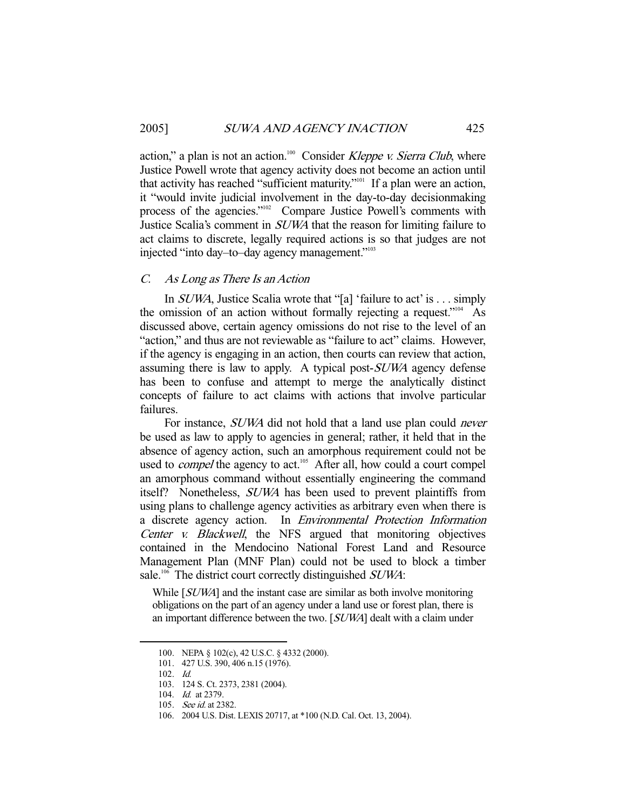action," a plan is not an action.<sup>100</sup> Consider Kleppe v. Sierra Club, where Justice Powell wrote that agency activity does not become an action until that activity has reached "sufficient maturity."101 If a plan were an action, it "would invite judicial involvement in the day-to-day decisionmaking process of the agencies."<sup>102</sup> Compare Justice Powell's comments with Justice Scalia's comment in SUWA that the reason for limiting failure to act claims to discrete, legally required actions is so that judges are not injected "into day–to–day agency management."103

# C. As Long as There Is an Action

 In SUWA, Justice Scalia wrote that "[a] 'failure to act' is . . . simply the omission of an action without formally rejecting a request."104 As discussed above, certain agency omissions do not rise to the level of an "action," and thus are not reviewable as "failure to act" claims. However, if the agency is engaging in an action, then courts can review that action, assuming there is law to apply. A typical post-SUWA agency defense has been to confuse and attempt to merge the analytically distinct concepts of failure to act claims with actions that involve particular failures.

For instance, *SUWA* did not hold that a land use plan could *never* be used as law to apply to agencies in general; rather, it held that in the absence of agency action, such an amorphous requirement could not be used to *compel* the agency to act.<sup>105</sup> After all, how could a court compel an amorphous command without essentially engineering the command itself? Nonetheless, SUWA has been used to prevent plaintiffs from using plans to challenge agency activities as arbitrary even when there is a discrete agency action. In Environmental Protection Information Center v. Blackwell, the NFS argued that monitoring objectives contained in the Mendocino National Forest Land and Resource Management Plan (MNF Plan) could not be used to block a timber sale.<sup>106</sup> The district court correctly distinguished *SUWA*:

While [SUWA] and the instant case are similar as both involve monitoring obligations on the part of an agency under a land use or forest plan, there is an important difference between the two. [SUWA] dealt with a claim under

 <sup>100.</sup> NEPA § 102(c), 42 U.S.C. § 4332 (2000).

 <sup>101. 427</sup> U.S. 390, 406 n.15 (1976).

 <sup>102.</sup> Id.

 <sup>103. 124</sup> S. Ct. 2373, 2381 (2004).

 <sup>104.</sup> Id. at 2379.

<sup>105.</sup> *See id.* at 2382.

 <sup>106. 2004</sup> U.S. Dist. LEXIS 20717, at \*100 (N.D. Cal. Oct. 13, 2004).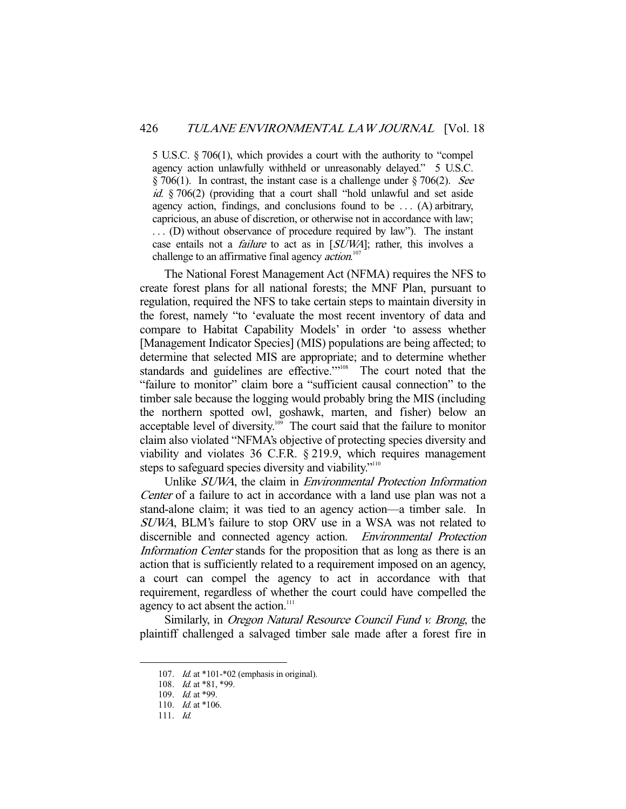5 U.S.C. § 706(1), which provides a court with the authority to "compel agency action unlawfully withheld or unreasonably delayed." 5 U.S.C.  $\S 706(1)$ . In contrast, the instant case is a challenge under  $\S 706(2)$ . See id. § 706(2) (providing that a court shall "hold unlawful and set aside agency action, findings, and conclusions found to be  $\dots$  (A) arbitrary, capricious, an abuse of discretion, or otherwise not in accordance with law; . . . (D) without observance of procedure required by law"). The instant case entails not a *failure* to act as in [SUWA]; rather, this involves a challenge to an affirmative final agency *action*.<sup>107</sup>

 The National Forest Management Act (NFMA) requires the NFS to create forest plans for all national forests; the MNF Plan, pursuant to regulation, required the NFS to take certain steps to maintain diversity in the forest, namely "to 'evaluate the most recent inventory of data and compare to Habitat Capability Models' in order 'to assess whether [Management Indicator Species] (MIS) populations are being affected; to determine that selected MIS are appropriate; and to determine whether standards and guidelines are effective."<sup>108</sup> The court noted that the "failure to monitor" claim bore a "sufficient causal connection" to the timber sale because the logging would probably bring the MIS (including the northern spotted owl, goshawk, marten, and fisher) below an acceptable level of diversity.109 The court said that the failure to monitor claim also violated "NFMA's objective of protecting species diversity and viability and violates 36 C.F.R. § 219.9, which requires management steps to safeguard species diversity and viability."<sup>110</sup>

 Unlike SUWA, the claim in Environmental Protection Information Center of a failure to act in accordance with a land use plan was not a stand-alone claim; it was tied to an agency action—a timber sale. In SUWA, BLM's failure to stop ORV use in a WSA was not related to discernible and connected agency action. Environmental Protection Information Center stands for the proposition that as long as there is an action that is sufficiently related to a requirement imposed on an agency, a court can compel the agency to act in accordance with that requirement, regardless of whether the court could have compelled the agency to act absent the action.<sup>111</sup>

Similarly, in *Oregon Natural Resource Council Fund v. Brong*, the plaintiff challenged a salvaged timber sale made after a forest fire in

 <sup>107.</sup> Id. at \*101-\*02 (emphasis in original).

<sup>108.</sup> *Id.* at \*81, \*99.

<sup>109.</sup> *Id.* at \*99.

<sup>110.</sup> *Id.* at  $*106$ .

 <sup>111.</sup> Id.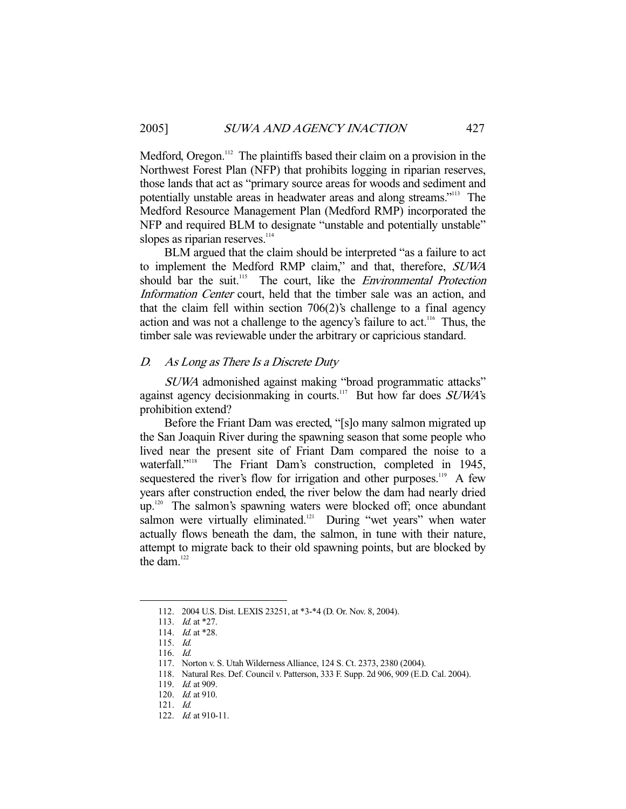Medford, Oregon.<sup>112</sup> The plaintiffs based their claim on a provision in the Northwest Forest Plan (NFP) that prohibits logging in riparian reserves, those lands that act as "primary source areas for woods and sediment and potentially unstable areas in headwater areas and along streams."113 The Medford Resource Management Plan (Medford RMP) incorporated the NFP and required BLM to designate "unstable and potentially unstable" slopes as riparian reserves.<sup>114</sup>

 BLM argued that the claim should be interpreted "as a failure to act to implement the Medford RMP claim," and that, therefore, SUWA should bar the suit.<sup>115</sup> The court, like the *Environmental Protection* Information Center court, held that the timber sale was an action, and that the claim fell within section 706(2)'s challenge to a final agency action and was not a challenge to the agency's failure to act.<sup>116</sup> Thus, the timber sale was reviewable under the arbitrary or capricious standard.

## D. As Long as There Is a Discrete Duty

SUWA admonished against making "broad programmatic attacks" against agency decisionmaking in courts.<sup>117</sup> But how far does  $SUMA$ 's prohibition extend?

 Before the Friant Dam was erected, "[s]o many salmon migrated up the San Joaquin River during the spawning season that some people who lived near the present site of Friant Dam compared the noise to a waterfall."<sup>118</sup> The Friant Dam's construction, completed in 1945, sequestered the river's flow for irrigation and other purposes.<sup>119</sup> A few years after construction ended, the river below the dam had nearly dried up.<sup>120</sup> The salmon's spawning waters were blocked off; once abundant salmon were virtually eliminated.<sup>121</sup> During "wet years" when water actually flows beneath the dam, the salmon, in tune with their nature, attempt to migrate back to their old spawning points, but are blocked by the dam.<sup>122</sup>

 <sup>112. 2004</sup> U.S. Dist. LEXIS 23251, at \*3-\*4 (D. Or. Nov. 8, 2004).

<sup>113.</sup> *Id.* at \*27.

 <sup>114.</sup> Id. at \*28.

 <sup>115.</sup> Id.

 <sup>116.</sup> Id.

 <sup>117.</sup> Norton v. S. Utah Wilderness Alliance, 124 S. Ct. 2373, 2380 (2004).

 <sup>118.</sup> Natural Res. Def. Council v. Patterson, 333 F. Supp. 2d 906, 909 (E.D. Cal. 2004).

<sup>119.</sup> *Id.* at 909.

<sup>120.</sup> *Id.* at 910.

 <sup>121.</sup> Id.

<sup>122.</sup> *Id.* at 910-11.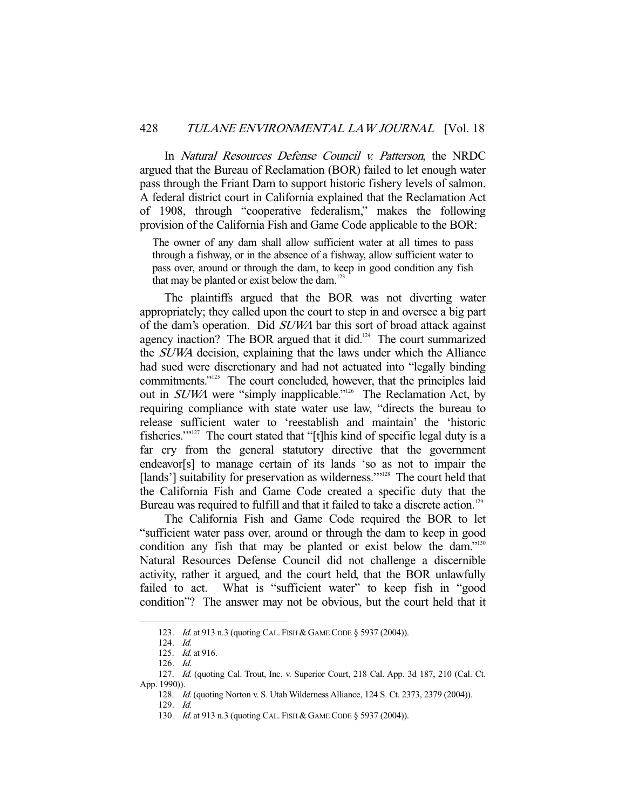In Natural Resources Defense Council v. Patterson, the NRDC argued that the Bureau of Reclamation (BOR) failed to let enough water pass through the Friant Dam to support historic fishery levels of salmon. A federal district court in California explained that the Reclamation Act of 1908, through "cooperative federalism," makes the following provision of the California Fish and Game Code applicable to the BOR:

The owner of any dam shall allow sufficient water at all times to pass through a fishway, or in the absence of a fishway, allow sufficient water to pass over, around or through the dam, to keep in good condition any fish that may be planted or exist below the dam.<sup>123</sup>

 The plaintiffs argued that the BOR was not diverting water appropriately; they called upon the court to step in and oversee a big part of the dam's operation. Did SUWA bar this sort of broad attack against agency inaction? The BOR argued that it did.<sup>124</sup> The court summarized the SUWA decision, explaining that the laws under which the Alliance had sued were discretionary and had not actuated into "legally binding commitments."<sup>125</sup> The court concluded, however, that the principles laid out in *SUWA* were "simply inapplicable."<sup>126</sup> The Reclamation Act, by requiring compliance with state water use law, "directs the bureau to release sufficient water to 'reestablish and maintain' the 'historic fisheries." $127$  The court stated that "[t]his kind of specific legal duty is a far cry from the general statutory directive that the government endeavor[s] to manage certain of its lands 'so as not to impair the [lands'] suitability for preservation as wilderness."<sup>128</sup> The court held that the California Fish and Game Code created a specific duty that the Bureau was required to fulfill and that it failed to take a discrete action.<sup>129</sup>

 The California Fish and Game Code required the BOR to let "sufficient water pass over, around or through the dam to keep in good condition any fish that may be planted or exist below the dam."<sup>130</sup> Natural Resources Defense Council did not challenge a discernible activity, rather it argued, and the court held, that the BOR unlawfully failed to act. What is "sufficient water" to keep fish in "good condition"? The answer may not be obvious, but the court held that it

<sup>123.</sup> *Id.* at 913 n.3 (quoting CAL. FISH & GAME CODE § 5937 (2004)).

 <sup>124.</sup> Id.

 <sup>125.</sup> Id. at 916.

 <sup>126.</sup> Id.

 <sup>127.</sup> Id. (quoting Cal. Trout, Inc. v. Superior Court, 218 Cal. App. 3d 187, 210 (Cal. Ct. App. 1990)).

 <sup>128.</sup> Id. (quoting Norton v. S. Utah Wilderness Alliance, 124 S. Ct. 2373, 2379 (2004)).

 <sup>129.</sup> Id.

 <sup>130.</sup> Id. at 913 n.3 (quoting CAL. FISH & GAME CODE § 5937 (2004)).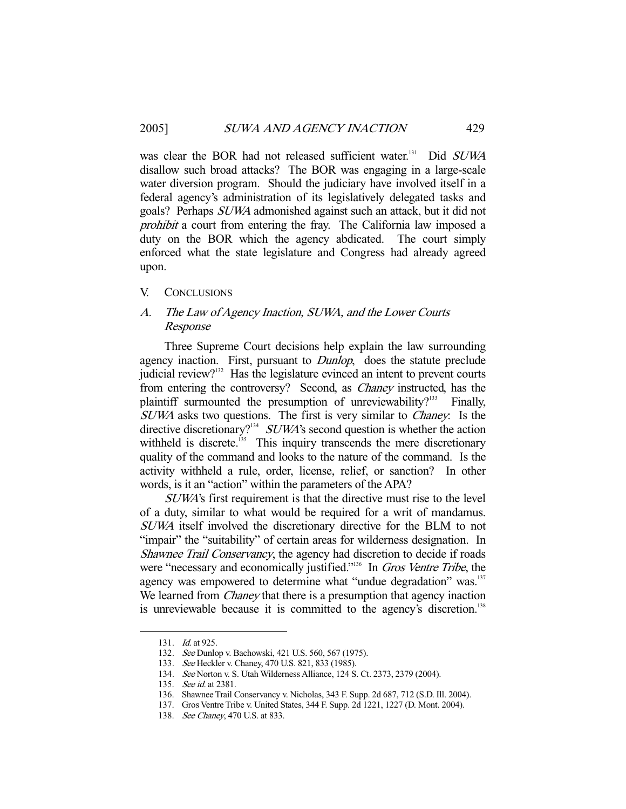was clear the BOR had not released sufficient water.<sup>131</sup> Did SUWA disallow such broad attacks? The BOR was engaging in a large-scale water diversion program. Should the judiciary have involved itself in a federal agency's administration of its legislatively delegated tasks and goals? Perhaps SUWA admonished against such an attack, but it did not prohibit a court from entering the fray. The California law imposed a duty on the BOR which the agency abdicated. The court simply enforced what the state legislature and Congress had already agreed upon.

#### V. CONCLUSIONS

# A. The Law of Agency Inaction, SUWA, and the Lower Courts Response

 Three Supreme Court decisions help explain the law surrounding agency inaction. First, pursuant to *Dunlop*, does the statute preclude judicial review? $132$  Has the legislature evinced an intent to prevent courts from entering the controversy? Second, as Chaney instructed, has the plaintiff surmounted the presumption of unreviewability?<sup>133</sup> Finally, SUWA asks two questions. The first is very similar to Chaney: Is the directive discretionary?<sup>134</sup> SUWA's second question is whether the action withheld is discrete.<sup>135</sup> This inquiry transcends the mere discretionary quality of the command and looks to the nature of the command. Is the activity withheld a rule, order, license, relief, or sanction? In other words, is it an "action" within the parameters of the APA?

SUWA's first requirement is that the directive must rise to the level of a duty, similar to what would be required for a writ of mandamus. SUWA itself involved the discretionary directive for the BLM to not "impair" the "suitability" of certain areas for wilderness designation. In Shawnee Trail Conservancy, the agency had discretion to decide if roads were "necessary and economically justified."<sup>136</sup> In *Gros Ventre Tribe*, the agency was empowered to determine what "undue degradation" was.<sup>137</sup> We learned from *Chaney* that there is a presumption that agency inaction is unreviewable because it is committed to the agency's discretion.<sup>138</sup>

<sup>131.</sup> *Id.* at 925.

 <sup>132.</sup> See Dunlop v. Bachowski, 421 U.S. 560, 567 (1975).

 <sup>133.</sup> See Heckler v. Chaney, 470 U.S. 821, 833 (1985).

 <sup>134.</sup> See Norton v. S. Utah Wilderness Alliance, 124 S. Ct. 2373, 2379 (2004).

<sup>135.</sup> *See id.* at 2381.

 <sup>136.</sup> Shawnee Trail Conservancy v. Nicholas, 343 F. Supp. 2d 687, 712 (S.D. Ill. 2004).

 <sup>137.</sup> Gros Ventre Tribe v. United States, 344 F. Supp. 2d 1221, 1227 (D. Mont. 2004).

<sup>138.</sup> See Chaney, 470 U.S. at 833.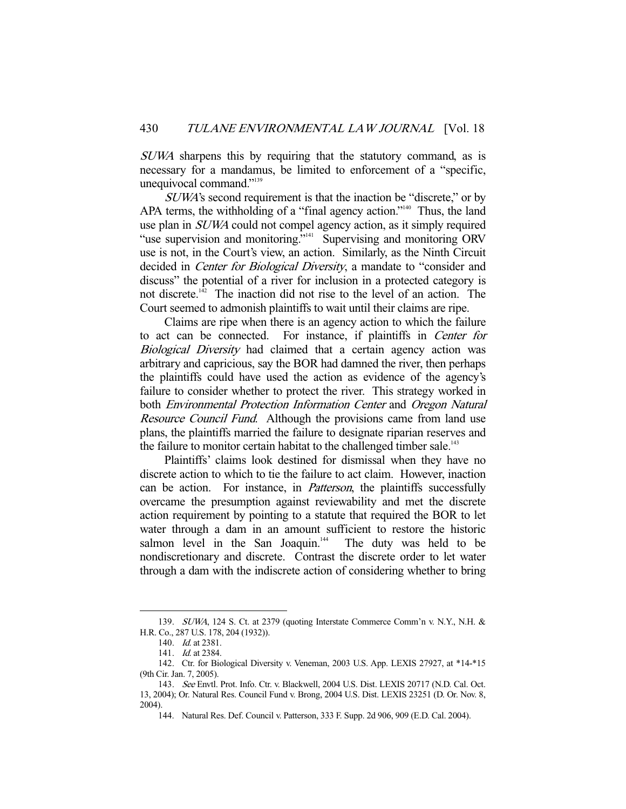SUWA sharpens this by requiring that the statutory command, as is necessary for a mandamus, be limited to enforcement of a "specific, unequivocal command."139

SUWA's second requirement is that the inaction be "discrete," or by APA terms, the withholding of a "final agency action."<sup>140</sup> Thus, the land use plan in SUWA could not compel agency action, as it simply required "use supervision and monitoring."<sup>141</sup> Supervising and monitoring ORV use is not, in the Court's view, an action. Similarly, as the Ninth Circuit decided in *Center for Biological Diversity*, a mandate to "consider and discuss" the potential of a river for inclusion in a protected category is not discrete.<sup> $142$ </sup> The inaction did not rise to the level of an action. The Court seemed to admonish plaintiffs to wait until their claims are ripe.

 Claims are ripe when there is an agency action to which the failure to act can be connected. For instance, if plaintiffs in Center for Biological Diversity had claimed that a certain agency action was arbitrary and capricious, say the BOR had damned the river, then perhaps the plaintiffs could have used the action as evidence of the agency's failure to consider whether to protect the river. This strategy worked in both Environmental Protection Information Center and Oregon Natural Resource Council Fund. Although the provisions came from land use plans, the plaintiffs married the failure to designate riparian reserves and the failure to monitor certain habitat to the challenged timber sale.<sup>143</sup>

 Plaintiffs' claims look destined for dismissal when they have no discrete action to which to tie the failure to act claim. However, inaction can be action. For instance, in Patterson, the plaintiffs successfully overcame the presumption against reviewability and met the discrete action requirement by pointing to a statute that required the BOR to let water through a dam in an amount sufficient to restore the historic salmon level in the San Joaquin.<sup>144</sup> The duty was held to be nondiscretionary and discrete. Contrast the discrete order to let water through a dam with the indiscrete action of considering whether to bring

 <sup>139.</sup> SUWA, 124 S. Ct. at 2379 (quoting Interstate Commerce Comm'n v. N.Y., N.H. & H.R. Co., 287 U.S. 178, 204 (1932)).

<sup>140.</sup> *Id.* at 2381.

 <sup>141.</sup> Id. at 2384.

 <sup>142.</sup> Ctr. for Biological Diversity v. Veneman, 2003 U.S. App. LEXIS 27927, at \*14-\*15 (9th Cir. Jan. 7, 2005).

 <sup>143.</sup> See Envtl. Prot. Info. Ctr. v. Blackwell, 2004 U.S. Dist. LEXIS 20717 (N.D. Cal. Oct. 13, 2004); Or. Natural Res. Council Fund v. Brong, 2004 U.S. Dist. LEXIS 23251 (D. Or. Nov. 8, 2004).

 <sup>144.</sup> Natural Res. Def. Council v. Patterson, 333 F. Supp. 2d 906, 909 (E.D. Cal. 2004).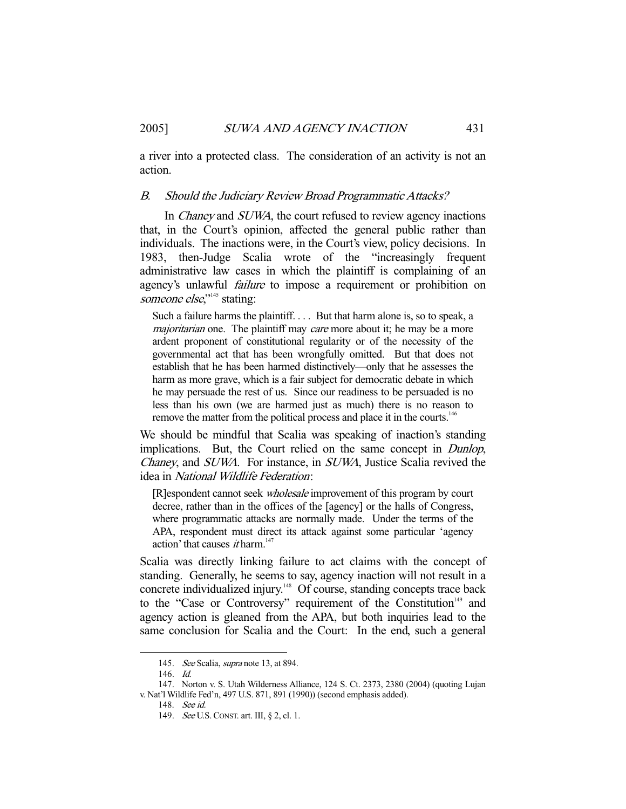a river into a protected class. The consideration of an activity is not an action.

## B. Should the Judiciary Review Broad Programmatic Attacks?

In *Chaney* and *SUWA*, the court refused to review agency inactions that, in the Court's opinion, affected the general public rather than individuals. The inactions were, in the Court's view, policy decisions. In 1983, then-Judge Scalia wrote of the "increasingly frequent administrative law cases in which the plaintiff is complaining of an agency's unlawful *failure* to impose a requirement or prohibition on someone else,"<sup>145</sup> stating:

Such a failure harms the plaintiff. . . . But that harm alone is, so to speak, a majoritarian one. The plaintiff may care more about it; he may be a more ardent proponent of constitutional regularity or of the necessity of the governmental act that has been wrongfully omitted. But that does not establish that he has been harmed distinctively—only that he assesses the harm as more grave, which is a fair subject for democratic debate in which he may persuade the rest of us. Since our readiness to be persuaded is no less than his own (we are harmed just as much) there is no reason to remove the matter from the political process and place it in the courts.<sup>146</sup>

We should be mindful that Scalia was speaking of inaction's standing implications. But, the Court relied on the same concept in *Dunlop*, Chaney, and SUWA. For instance, in SUWA, Justice Scalia revived the idea in National Wildlife Federation:

[R]espondent cannot seek wholesale improvement of this program by court decree, rather than in the offices of the [agency] or the halls of Congress, where programmatic attacks are normally made. Under the terms of the APA, respondent must direct its attack against some particular 'agency action' that causes *it* harm.<sup>147</sup>

Scalia was directly linking failure to act claims with the concept of standing. Generally, he seems to say, agency inaction will not result in a concrete individualized injury.<sup>148</sup> Of course, standing concepts trace back to the "Case or Controversy" requirement of the Constitution<sup>149</sup> and agency action is gleaned from the APA, but both inquiries lead to the same conclusion for Scalia and the Court: In the end, such a general

<sup>145.</sup> See Scalia, supra note 13, at 894.

 <sup>146.</sup> Id.

 <sup>147.</sup> Norton v. S. Utah Wilderness Alliance, 124 S. Ct. 2373, 2380 (2004) (quoting Lujan v. Nat'l Wildlife Fed'n, 497 U.S. 871, 891 (1990)) (second emphasis added).

 <sup>148.</sup> See id.

 <sup>149.</sup> See U.S.CONST. art. III, § 2, cl. 1.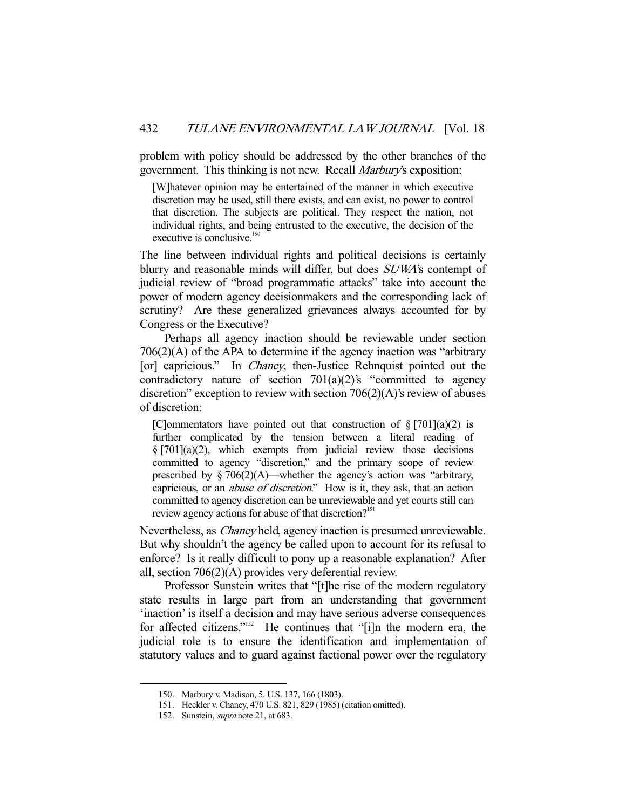problem with policy should be addressed by the other branches of the government. This thinking is not new. Recall Marbury's exposition:

[W]hatever opinion may be entertained of the manner in which executive discretion may be used, still there exists, and can exist, no power to control that discretion. The subjects are political. They respect the nation, not individual rights, and being entrusted to the executive, the decision of the executive is conclusive.<sup>150</sup>

The line between individual rights and political decisions is certainly blurry and reasonable minds will differ, but does SUWA's contempt of judicial review of "broad programmatic attacks" take into account the power of modern agency decisionmakers and the corresponding lack of scrutiny? Are these generalized grievances always accounted for by Congress or the Executive?

 Perhaps all agency inaction should be reviewable under section 706(2)(A) of the APA to determine if the agency inaction was "arbitrary [or] capricious." In *Chaney*, then-Justice Rehnquist pointed out the contradictory nature of section  $701(a)(2)$ 's "committed to agency discretion" exception to review with section  $706(2)(A)$ 's review of abuses of discretion:

[C]ommentators have pointed out that construction of  $\S [701](a)(2)$  is further complicated by the tension between a literal reading of  $\S [701](a)(2)$ , which exempts from judicial review those decisions committed to agency "discretion," and the primary scope of review prescribed by  $\S 706(2)(A)$ —whether the agency's action was "arbitrary, capricious, or an abuse of discretion." How is it, they ask, that an action committed to agency discretion can be unreviewable and yet courts still can review agency actions for abuse of that discretion?<sup>151</sup>

Nevertheless, as Chaney held, agency inaction is presumed unreviewable. But why shouldn't the agency be called upon to account for its refusal to enforce? Is it really difficult to pony up a reasonable explanation? After all, section 706(2)(A) provides very deferential review.

 Professor Sunstein writes that "[t]he rise of the modern regulatory state results in large part from an understanding that government 'inaction' is itself a decision and may have serious adverse consequences for affected citizens."152 He continues that "[i]n the modern era, the judicial role is to ensure the identification and implementation of statutory values and to guard against factional power over the regulatory

 <sup>150.</sup> Marbury v. Madison, 5. U.S. 137, 166 (1803).

 <sup>151.</sup> Heckler v. Chaney, 470 U.S. 821, 829 (1985) (citation omitted).

<sup>152.</sup> Sunstein, *supra* note 21, at 683.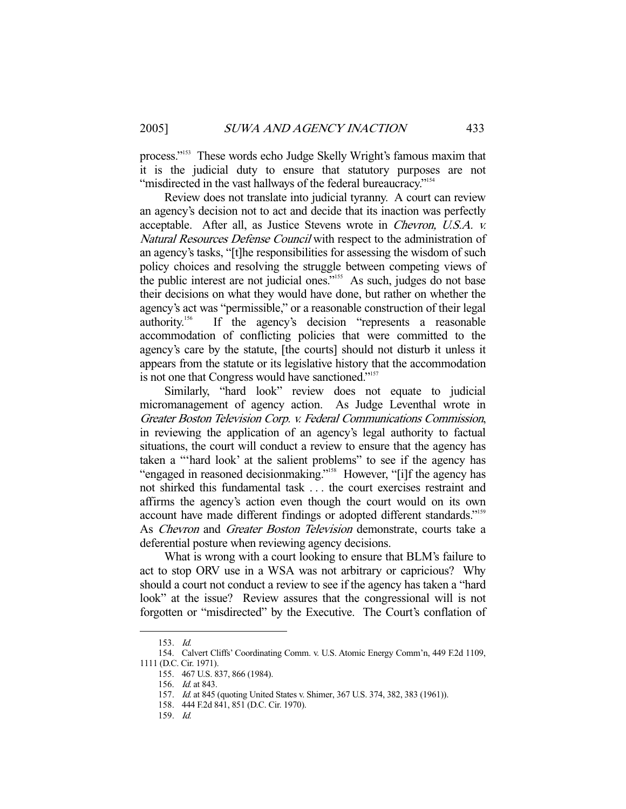process."153 These words echo Judge Skelly Wright's famous maxim that it is the judicial duty to ensure that statutory purposes are not "misdirected in the vast hallways of the federal bureaucracy."<sup>154</sup>

 Review does not translate into judicial tyranny. A court can review an agency's decision not to act and decide that its inaction was perfectly acceptable. After all, as Justice Stevens wrote in Chevron, U.S.A. v. Natural Resources Defense Council with respect to the administration of an agency's tasks, "[t]he responsibilities for assessing the wisdom of such policy choices and resolving the struggle between competing views of the public interest are not judicial ones."<sup>155</sup> As such, judges do not base their decisions on what they would have done, but rather on whether the agency's act was "permissible," or a reasonable construction of their legal authority.156 If the agency's decision "represents a reasonable accommodation of conflicting policies that were committed to the agency's care by the statute, [the courts] should not disturb it unless it appears from the statute or its legislative history that the accommodation is not one that Congress would have sanctioned."<sup>157</sup>

 Similarly, "hard look" review does not equate to judicial micromanagement of agency action. As Judge Leventhal wrote in Greater Boston Television Corp. v. Federal Communications Commission, in reviewing the application of an agency's legal authority to factual situations, the court will conduct a review to ensure that the agency has taken a "'hard look' at the salient problems" to see if the agency has "engaged in reasoned decisionmaking."158 However, "[i]f the agency has not shirked this fundamental task . . . the court exercises restraint and affirms the agency's action even though the court would on its own account have made different findings or adopted different standards."159 As Chevron and Greater Boston Television demonstrate, courts take a deferential posture when reviewing agency decisions.

 What is wrong with a court looking to ensure that BLM's failure to act to stop ORV use in a WSA was not arbitrary or capricious? Why should a court not conduct a review to see if the agency has taken a "hard look" at the issue? Review assures that the congressional will is not forgotten or "misdirected" by the Executive. The Court's conflation of

 <sup>153.</sup> Id.

 <sup>154.</sup> Calvert Cliffs' Coordinating Comm. v. U.S. Atomic Energy Comm'n, 449 F.2d 1109, 1111 (D.C. Cir. 1971).

 <sup>155. 467</sup> U.S. 837, 866 (1984).

 <sup>156.</sup> Id. at 843.

 <sup>157.</sup> Id. at 845 (quoting United States v. Shimer, 367 U.S. 374, 382, 383 (1961)).

 <sup>158. 444</sup> F.2d 841, 851 (D.C. Cir. 1970).

 <sup>159.</sup> Id.